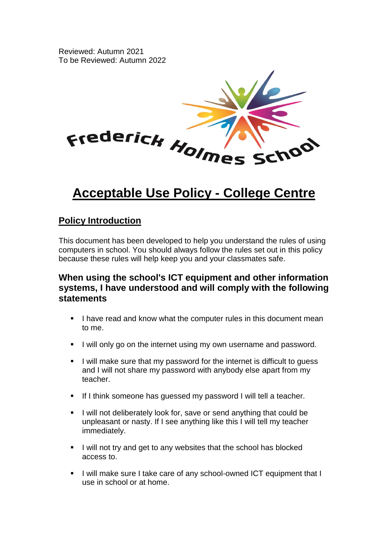Reviewed: Autumn 2021 To be Reviewed: Autumn 2022



# **Acceptable Use Policy - College Centre**

### **Policy Introduction**

This document has been developed to help you understand the rules of using computers in school. You should always follow the rules set out in this policy because these rules will help keep you and your classmates safe.

### **When using the school's ICT equipment and other information systems, I have understood and will comply with the following statements**

- **EXTERN** I have read and know what the computer rules in this document mean to me.
- **.** I will only go on the internet using my own username and password.
- I will make sure that my password for the internet is difficult to quess and I will not share my password with anybody else apart from my teacher.
- **E** If I think someone has quessed my password I will tell a teacher.
- I will not deliberately look for, save or send anything that could be unpleasant or nasty. If I see anything like this I will tell my teacher immediately.
- I will not try and get to any websites that the school has blocked access to.
- I will make sure I take care of any school-owned ICT equipment that I use in school or at home.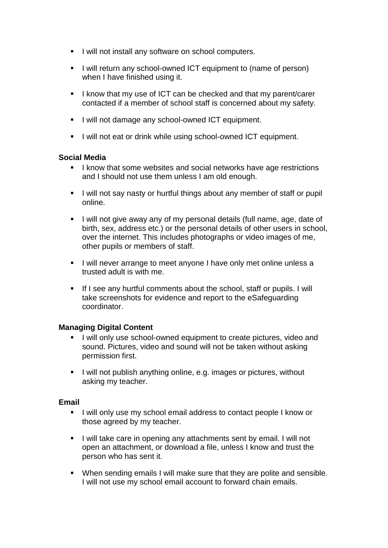- I will not install any software on school computers.
- **E** I will return any school-owned ICT equipment to (name of person) when I have finished using it.
- I know that my use of ICT can be checked and that my parent/carer contacted if a member of school staff is concerned about my safety.
- **EXECT** I will not damage any school-owned ICT equipment.
- I will not eat or drink while using school-owned ICT equipment.

#### **Social Media**

- I know that some websites and social networks have age restrictions and I should not use them unless I am old enough.
- I will not say nasty or hurtful things about any member of staff or pupil online.
- **EXTERN** I will not give away any of my personal details (full name, age, date of birth, sex, address etc.) or the personal details of other users in school, over the internet. This includes photographs or video images of me, other pupils or members of staff.
- **EXECT** I will never arrange to meet anyone I have only met online unless a trusted adult is with me.
- If I see any hurtful comments about the school, staff or pupils, I will take screenshots for evidence and report to the eSafeguarding coordinator.

#### **Managing Digital Content**

- I will only use school-owned equipment to create pictures, video and sound. Pictures, video and sound will not be taken without asking permission first.
- I will not publish anything online, e.g. images or pictures, without asking my teacher.

#### **Email**

- I will only use my school email address to contact people I know or those agreed by my teacher.
- I will take care in opening any attachments sent by email. I will not open an attachment, or download a file, unless I know and trust the person who has sent it.
- When sending emails I will make sure that they are polite and sensible. I will not use my school email account to forward chain emails.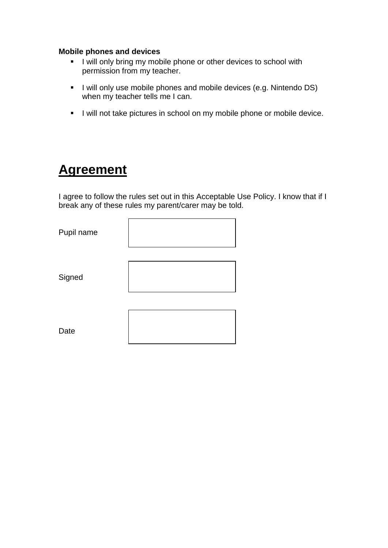#### **Mobile phones and devices**

- **EXECT** I will only bring my mobile phone or other devices to school with permission from my teacher.
- **.** I will only use mobile phones and mobile devices (e.g. Nintendo DS) when my teacher tells me I can.
- I will not take pictures in school on my mobile phone or mobile device.

# **Agreement**

I agree to follow the rules set out in this Acceptable Use Policy. I know that if I break any of these rules my parent/carer may be told.

| Pupil name |  |
|------------|--|
| Signed     |  |
| Date       |  |